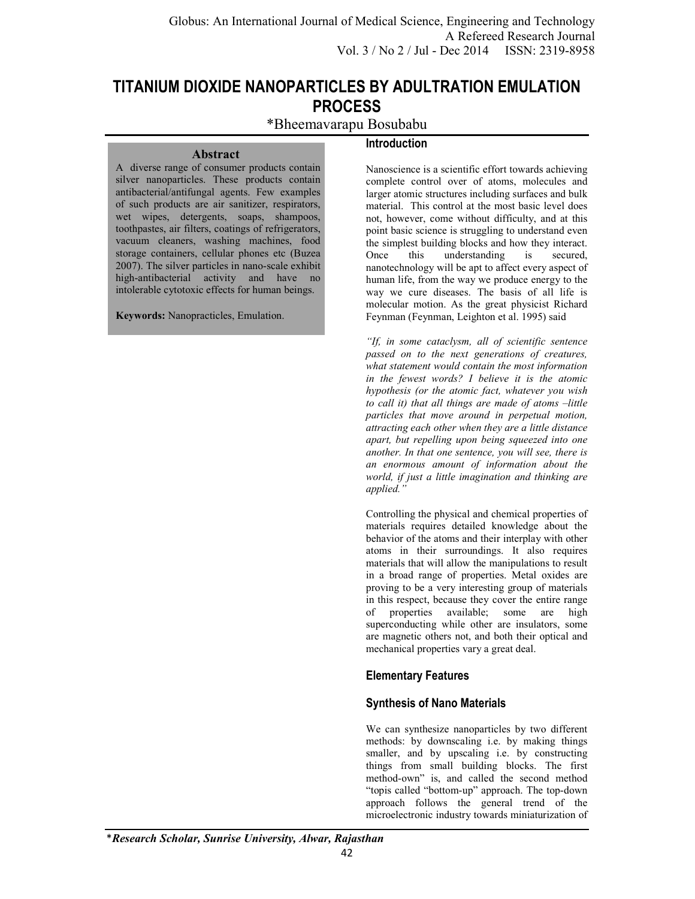**Introduction** 

# **TITANIUM DIOXIDE NANOPARTICLES BY ADULTRATION EMULATION PROCESS**

# \*Bheemavarapu Bosubabu

A diverse range of consumer products contain silver nanoparticles. These products contain antibacterial/antifungal agents. Few examples of such products are air sanitizer, respirators, wet wipes, detergents, soaps, shampoos, toothpastes, air filters, coatings of refrigerators, vacuum cleaners, washing machines, food storage containers, cellular phones etc (Buzea 2007). The silver particles in nano-scale exhibit high-antibacterial activity and have no intolerable cytotoxic effects for human beings.

**Abstract** 

**Keywords:** Nanopracticles, Emulation.

Nanoscience is a scientific effort towards achieving complete control over of atoms, molecules and larger atomic structures including surfaces and bulk material. This control at the most basic level does not, however, come without difficulty, and at this point basic science is struggling to understand even the simplest building blocks and how they interact. Once this understanding is secured, nanotechnology will be apt to affect every aspect of human life, from the way we produce energy to the way we cure diseases. The basis of all life is molecular motion. As the great physicist Richard Feynman (Feynman, Leighton et al. 1995) said

*"If, in some cataclysm, all of scientific sentence passed on to the next generations of creatures, what statement would contain the most information in the fewest words? I believe it is the atomic hypothesis (or the atomic fact, whatever you wish to call it) that all things are made of atoms –little particles that move around in perpetual motion, attracting each other when they are a little distance apart, but repelling upon being squeezed into one another. In that one sentence, you will see, there is an enormous amount of information about the world, if just a little imagination and thinking are applied."*

Controlling the physical and chemical properties of materials requires detailed knowledge about the behavior of the atoms and their interplay with other atoms in their surroundings. It also requires materials that will allow the manipulations to result in a broad range of properties. Metal oxides are proving to be a very interesting group of materials in this respect, because they cover the entire range of properties available; some are high superconducting while other are insulators, some are magnetic others not, and both their optical and mechanical properties vary a great deal.

# **Elementary Features**

# **Synthesis of Nano Materials**

We can synthesize nanoparticles by two different methods: by downscaling i.e. by making things smaller, and by upscaling i.e. by constructing things from small building blocks. The first method-own" is, and called the second method "topis called "bottom-up" approach. The top-down approach follows the general trend of the microelectronic industry towards miniaturization of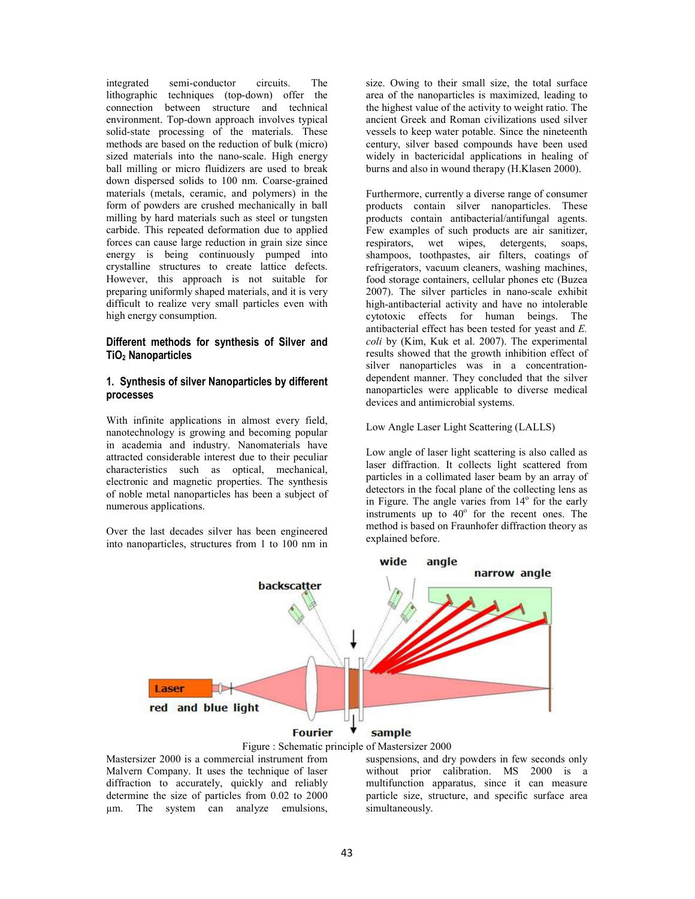integrated semi-conductor circuits. The lithographic techniques (top-down) offer the connection between structure and technical environment. Top-down approach involves typical solid-state processing of the materials. These methods are based on the reduction of bulk (micro) sized materials into the nano-scale. High energy ball milling or micro fluidizers are used to break down dispersed solids to 100 nm. Coarse-grained materials (metals, ceramic, and polymers) in the form of powders are crushed mechanically in ball milling by hard materials such as steel or tungsten carbide. This repeated deformation due to applied forces can cause large reduction in grain size since energy is being continuously pumped into crystalline structures to create lattice defects. However, this approach is not suitable for preparing uniformly shaped materials, and it is very difficult to realize very small particles even with high energy consumption.

#### **Different methods for synthesis of Silver and TiO2 Nanoparticles**

#### **1. Synthesis of silver Nanoparticles by different processes**

With infinite applications in almost every field, nanotechnology is growing and becoming popular in academia and industry. Nanomaterials have attracted considerable interest due to their peculiar characteristics such as optical, mechanical, electronic and magnetic properties. The synthesis of noble metal nanoparticles has been a subject of numerous applications.

Over the last decades silver has been engineered into nanoparticles, structures from 1 to 100 nm in size. Owing to their small size, the total surface area of the nanoparticles is maximized, leading to the highest value of the activity to weight ratio. The ancient Greek and Roman civilizations used silver vessels to keep water potable. Since the nineteenth century, silver based compounds have been used widely in bactericidal applications in healing of burns and also in wound therapy (H.Klasen 2000).

Furthermore, currently a diverse range of consumer products contain silver nanoparticles. These products contain antibacterial/antifungal agents. Few examples of such products are air sanitizer, respirators, wet wipes, detergents, soaps, shampoos, toothpastes, air filters, coatings of refrigerators, vacuum cleaners, washing machines, food storage containers, cellular phones etc (Buzea 2007). The silver particles in nano-scale exhibit high-antibacterial activity and have no intolerable cytotoxic effects for human beings. The antibacterial effect has been tested for yeast and *E. coli* by (Kim, Kuk et al. 2007). The experimental results showed that the growth inhibition effect of silver nanoparticles was in a concentrationdependent manner. They concluded that the silver nanoparticles were applicable to diverse medical devices and antimicrobial systems.

Low Angle Laser Light Scattering (LALLS)

Low angle of laser light scattering is also called as laser diffraction. It collects light scattered from particles in a collimated laser beam by an array of detectors in the focal plane of the collecting lens as in Figure. The angle varies from 14° for the early instruments up to  $40^{\circ}$  for the recent ones. The method is based on Fraunhofer diffraction theory as explained before.





Mastersizer 2000 is a commercial instrument from Malvern Company. It uses the technique of laser diffraction to accurately, quickly and reliably determine the size of particles from 0.02 to 2000 µm. The system can analyze emulsions,

suspensions, and dry powders in few seconds only without prior calibration. MS 2000 is a multifunction apparatus, since it can measure particle size, structure, and specific surface area simultaneously.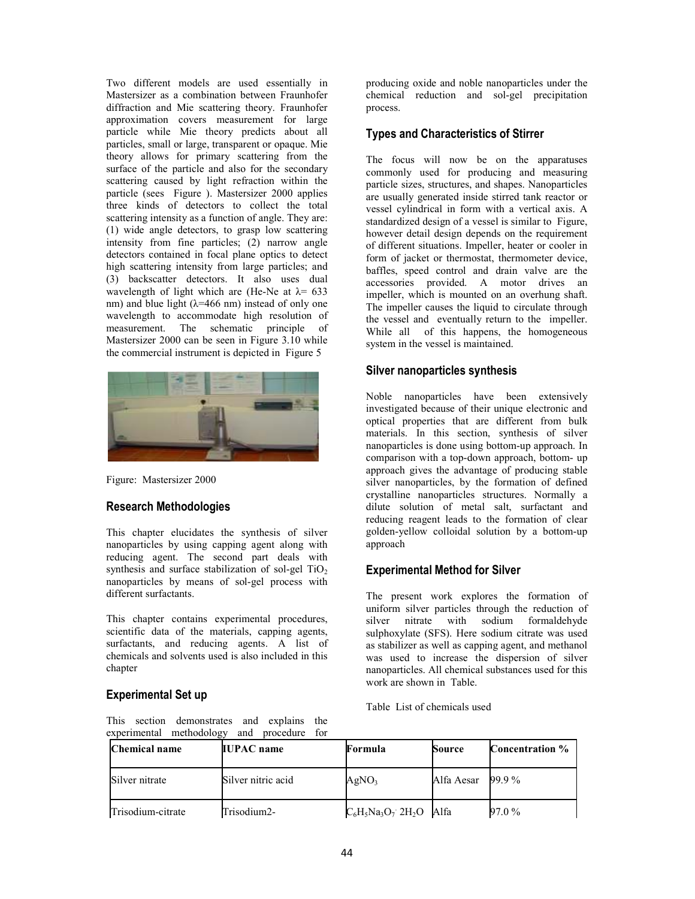Two different models are used essentially in Mastersizer as a combination between Fraunhofer diffraction and Mie scattering theory. Fraunhofer approximation covers measurement for large particle while Mie theory predicts about all particles, small or large, transparent or opaque. Mie theory allows for primary scattering from the surface of the particle and also for the secondary scattering caused by light refraction within the particle (sees Figure ). Mastersizer 2000 applies three kinds of detectors to collect the total scattering intensity as a function of angle. They are: (1) wide angle detectors, to grasp low scattering intensity from fine particles; (2) narrow angle detectors contained in focal plane optics to detect high scattering intensity from large particles; and (3) backscatter detectors. It also uses dual wavelength of light which are (He-Ne at  $\lambda$ = 633 nm) and blue light  $(\lambda = 466$  nm) instead of only one wavelength to accommodate high resolution of measurement. The schematic principle of Mastersizer 2000 can be seen in Figure 3.10 while the commercial instrument is depicted in Figure 5



Figure: Mastersizer 2000

### **Research Methodologies**

This chapter elucidates the synthesis of silver nanoparticles by using capping agent along with reducing agent. The second part deals with synthesis and surface stabilization of sol-gel  $TiO<sub>2</sub>$ nanoparticles by means of sol-gel process with different surfactants.

This chapter contains experimental procedures, scientific data of the materials, capping agents, surfactants, and reducing agents. A list of chemicals and solvents used is also included in this chapter

### **Experimental Set up**

producing oxide and noble nanoparticles under the chemical reduction and sol-gel precipitation process.

### **Types and Characteristics of Stirrer**

The focus will now be on the apparatuses commonly used for producing and measuring particle sizes, structures, and shapes. Nanoparticles are usually generated inside stirred tank reactor or vessel cylindrical in form with a vertical axis. A standardized design of a vessel is similar to Figure, however detail design depends on the requirement of different situations. Impeller, heater or cooler in form of jacket or thermostat, thermometer device, baffles, speed control and drain valve are the accessories provided. A motor drives an impeller, which is mounted on an overhung shaft. The impeller causes the liquid to circulate through the vessel and eventually return to the impeller.<br>While all of this happens, the homogeneous of this happens, the homogeneous system in the vessel is maintained.

#### **Silver nanoparticles synthesis**

Noble nanoparticles have been extensively investigated because of their unique electronic and optical properties that are different from bulk materials. In this section, synthesis of silver nanoparticles is done using bottom-up approach. In comparison with a top-down approach, bottom- up approach gives the advantage of producing stable silver nanoparticles, by the formation of defined crystalline nanoparticles structures. Normally a dilute solution of metal salt, surfactant and reducing reagent leads to the formation of clear golden-yellow colloidal solution by a bottom-up approach

### **Experimental Method for Silver**

The present work explores the formation of uniform silver particles through the reduction of silver nitrate with sodium formaldehyde sulphoxylate (SFS). Here sodium citrate was used as stabilizer as well as capping agent, and methanol was used to increase the dispersion of silver nanoparticles. All chemical substances used for this work are shown in Table.

Table List of chemicals used

This section demonstrates and explains the experimental methodology and procedure for

| Chemical name     | <b>IUPAC</b> name  | Formula                                | Source     | <b>Concentration</b> % |
|-------------------|--------------------|----------------------------------------|------------|------------------------|
| Silver nitrate    | Silver nitric acid | AgNO <sub>3</sub>                      | Alfa Aesar | 99.9%                  |
| Trisodium-citrate | Trisodium2-        | $C_6H_5Na_3O_7$ 2H <sub>2</sub> O Alfa |            | 97.0%                  |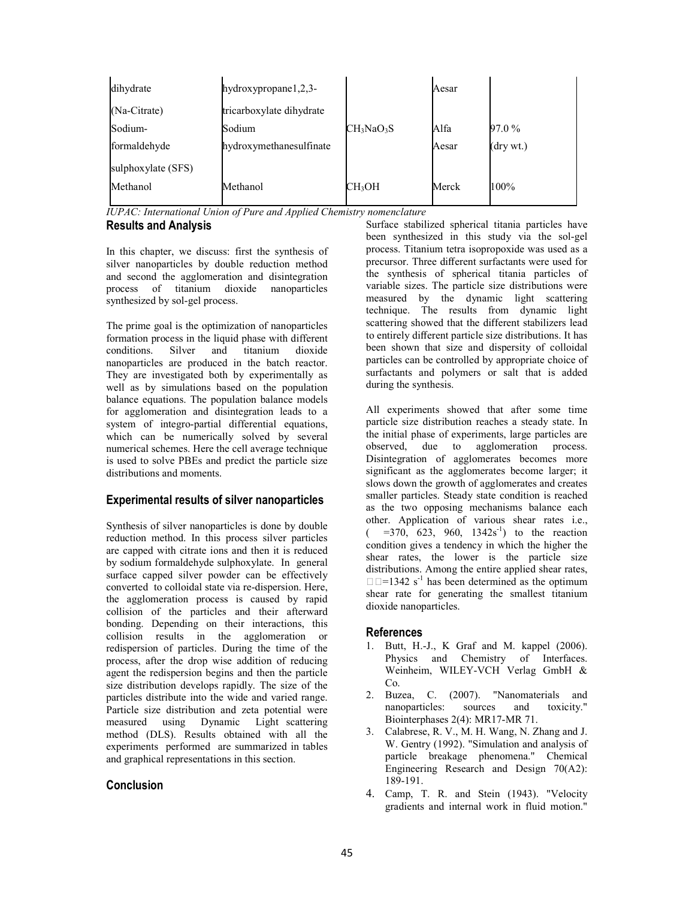| hydroxypropane1,2,3-     |                                    |                                 |
|--------------------------|------------------------------------|---------------------------------|
| tricarboxylate dihydrate |                                    |                                 |
| Sodium                   |                                    | 97.0%                           |
| hydroxymethanesulfinate  |                                    | $(\text{dry wt.})$              |
|                          |                                    |                                 |
| Methanol                 |                                    | 100%                            |
|                          | $CH_3NaO_3S$<br>CH <sub>3</sub> OH | Aesar<br>Alfa<br>Aesar<br>Merck |

*IUPAC: International Union of Pure and Applied Chemistry nomenclature*

**Results and Analysis**

In this chapter, we discuss: first the synthesis of silver nanoparticles by double reduction method and second the agglomeration and disintegration process of titanium dioxide nanoparticles synthesized by sol-gel process.

The prime goal is the optimization of nanoparticles formation process in the liquid phase with different conditions. Silver and titanium dioxide nanoparticles are produced in the batch reactor. They are investigated both by experimentally as well as by simulations based on the population balance equations. The population balance models for agglomeration and disintegration leads to a system of integro-partial differential equations, which can be numerically solved by several numerical schemes. Here the cell average technique is used to solve PBEs and predict the particle size distributions and moments.

# **Experimental results of silver nanoparticles**

Synthesis of silver nanoparticles is done by double reduction method. In this process silver particles are capped with citrate ions and then it is reduced by sodium formaldehyde sulphoxylate. In general surface capped silver powder can be effectively converted to colloidal state via re-dispersion. Here, the agglomeration process is caused by rapid collision of the particles and their afterward bonding. Depending on their interactions, this collision results in the agglomeration or redispersion of particles. During the time of the process, after the drop wise addition of reducing agent the redispersion begins and then the particle size distribution develops rapidly. The size of the particles distribute into the wide and varied range. Particle size distribution and zeta potential were measured using Dynamic Light scattering method (DLS). Results obtained with all the experiments performed are summarized in tables and graphical representations in this section.

# **Conclusion**

Surface stabilized spherical titania particles have been synthesized in this study via the sol-gel process. Titanium tetra isopropoxide was used as a precursor. Three different surfactants were used for the synthesis of spherical titania particles of variable sizes. The particle size distributions were measured by the dynamic light scattering technique. The results from dynamic light scattering showed that the different stabilizers lead to entirely different particle size distributions. It has been shown that size and dispersity of colloidal particles can be controlled by appropriate choice of surfactants and polymers or salt that is added during the synthesis.

All experiments showed that after some time particle size distribution reaches a steady state. In the initial phase of experiments, large particles are observed, due to agglomeration process. Disintegration of agglomerates becomes more significant as the agglomerates become larger; it slows down the growth of agglomerates and creates smaller particles. Steady state condition is reached as the two opposing mechanisms balance each other. Application of various shear rates i.e., (- $=370, 623, 960, 1342s^{-1}$  to the reaction condition gives a tendency in which the higher the shear rates, the lower is the particle size distributions. Among the entire applied shear rates,  $\Box$  $\Box$ =1342 s<sup>-1</sup> has been determined as the optimum shear rate for generating the smallest titanium dioxide nanoparticles.

# **References**

- 1. Butt, H.-J., K Graf and M. kappel (2006). Physics and Chemistry of Interfaces. Weinheim, WILEY-VCH Verlag GmbH & Co.
- 2. Buzea, C. (2007). "Nanomaterials and nanoparticles: sources and toxicity." Biointerphases 2(4): MR17-MR 71.
- 3. Calabrese, R. V., M. H. Wang, N. Zhang and J. W. Gentry (1992). "Simulation and analysis of particle breakage phenomena." Chemical Engineering Research and Design 70(A2): 189-191.
- 4. Camp, T. R. and Stein (1943). "Velocity gradients and internal work in fluid motion."